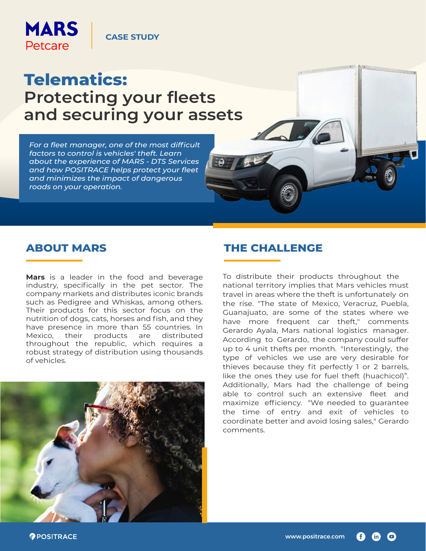

### **CASE STUDY**

# **Telematics: Protecting your fleets and securing your assets**

*For a fleet manager, one of the most difficult factors to control is vehicles' theft. Learn about the experience of MARS - DTS Services and how POSITRACE helps protect your fleet and minimizes the impact of dangerous roads on your operation.*

**Mars** is a leader in the food and beverage industry, specifically in the pet sector. The company markets and distributes iconic brands such as Pedigree and Whiskas, among others. Their products for this sector focus on the nutrition of dogs, cats, horses and fish, and they have presence in more than 55 countries. In Mexico, their products are distributed throughout the republic, which requires a robust strategy of distribution using thousands of vehicles.



### **ABOUT MARS THE CHALLENGE**

To distribute their products throughout the national territory implies that Mars vehicles must travel in areas where the theft is unfortunately on the rise. "The state of Mexico, Veracruz, Puebla, Guanajuato, are some of the states where we have more frequent car theft," comments Gerardo Ayala, Mars national logistics manager. According to Gerardo, the company could suffer up to 4 unit thefts per month. "Interestingly, the type of vehicles we use are very desirable for thieves because they fit perfectly 1 or 2 barrels, like the ones they use for fuel theft (huachicol)". Additionally, Mars had the challenge of being able to control such an extensive fleet and maximize efficiency. "We needed to guarantee the time of entry and exit of vehicles to coordinate better and avoid losing sales," Gerardo comments.

*POSITRACE*